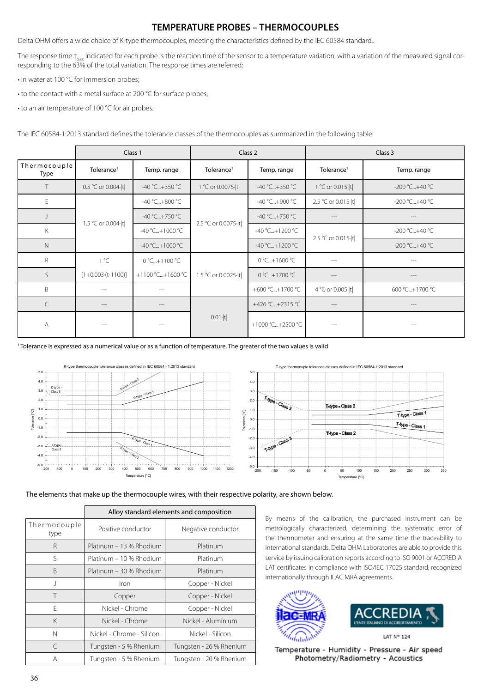## **TEMPERATURE PROBES – THERMOCOUPLES**

Delta OHM offers a wide choice of K-type thermocouples, meeting the characteristics defined by the IEC 60584 standard..

The response time  $\tau_{0.63}$  indicated for each probe is the reaction time of the sensor to a temperature variation, with a variation of the measured signal corresponding to the 63% of the total variation. The response times are referred:

- in water at 100 °C for immersion probes;
- to the contact with a metal surface at 200 °C for surface probes;
- to an air temperature of 100 °C for air probes.

The IEC 60584-1:2013 standard defines the tolerance classes of the thermocouples as summarized in the following table:

|                      | Class 1                         |                  | Class 2                        |                  | Class 3                          |                |
|----------------------|---------------------------------|------------------|--------------------------------|------------------|----------------------------------|----------------|
| Thermocouple<br>Type | Tolerance <sup>1</sup>          | Temp. range      | Tolerance <sup>1</sup>         | Temp. range      | Tolerance <sup>1</sup>           | Temp. range    |
| $\top$               | 0.5 °C or 0.004  t              | -40 °C+350 °C    | 1 °C or 0.0075 <sup>-</sup>  t | -40 °C+350 °C    | 1 °C or 0.015  t                 | -200 °C+40 °C  |
| E                    | 1.5 °C or 0.004 <sup>-</sup>  t | -40 °C+800 °C    | 2.5 °C or 0.0075 <sup>-</sup>  | -40 °C+900 °C    | 2.5 °C or 0.015 <sup>-</sup>   t | -200 °C+40 °C  |
|                      |                                 | -40 °C+750 °C    |                                | $-40 °C+750 °C$  | $- - -$                          | ---            |
| K                    |                                 | -40 °C+1000 °C   |                                | -40 °C+1200 °C   | 2.5 °C or 0.015 <sup>-</sup>  t  | -200 °C+40 °C  |
| $\mathsf{N}$         |                                 | -40 °C+1000 °C   |                                | $-40 °C+1200 °C$ |                                  | -200 °C+40 °C  |
| R                    | 1 °C                            | 0 °C+1100 °C     | 1.5 °C or 0.0025 ·  t          | 0 °C+1600 °C     | $---$                            | $---$          |
| $\mathsf{S}$         | $[1+0.003 \cdot (t-1100)]$      | +1100 °C+1600 °C |                                | 0 °C+1700 °C     | $- - -$                          | ---            |
| <sub>B</sub>         | $- - -$                         | ---              |                                | +600 °C+1700 °C  | 4 °C or 0.005  t                 | 600 °C+1700 °C |
| $\subset$            | $\cdots$                        | $- - -$          |                                | +426 °C+2315 °C  | $- - -$                          | $- - -$        |
| A                    | $- - -$                         |                  | $0.01 \cdot  t $               | +1000 °C+2500 °C |                                  | $---$          |

1 Tolerance is expressed as a numerical value or as a function of temperature. The greater of the two values is valid



The elements that make up the thermocouple wires, with their respective polarity, are shown below.

|                      | Alloy standard elements and composition |                         |  |  |
|----------------------|-----------------------------------------|-------------------------|--|--|
| Thermocouple<br>type | Positive conductor                      | Negative conductor      |  |  |
| R                    | Platinum - 13 % Rhodium                 | Platinum                |  |  |
| S                    | Platinum - 10 % Rhodium                 | Platinum                |  |  |
| R                    | Platinum - 30 % Rhodium                 | Platinum                |  |  |
| J                    | Iron                                    | Copper - Nickel         |  |  |
| Τ                    | Copper                                  | Copper - Nickel         |  |  |
| F                    | Nickel - Chrome                         | Copper - Nickel         |  |  |
| K                    | Nickel - Chrome                         | Nickel - Aluminium      |  |  |
| N                    | Nickel - Chrome - Silicon               | Nickel - Silicon        |  |  |
| C                    | Tungsten - 5 % Rhenium                  | Tungsten - 26 % Rhenium |  |  |
| Α                    | Tungsten - 5 % Rhenium                  | Tungsten - 20 % Rhenium |  |  |

By means of the calibration, the purchased instrument can be metrologically characterized, determining the systematic error of the thermometer and ensuring at the same time the traceability to international standards. Delta OHM Laboratories are able to provide this service by issuing calibration reports according to ISO 9001 or ACCREDIA LAT certificates in compliance with ISO/IEC 17025 standard, recognized internationally through ILAC MRA agreements.





LAT N° 124

Temperature - Humidity - Pressure - Air speed Photometry/Radiometry - Acoustics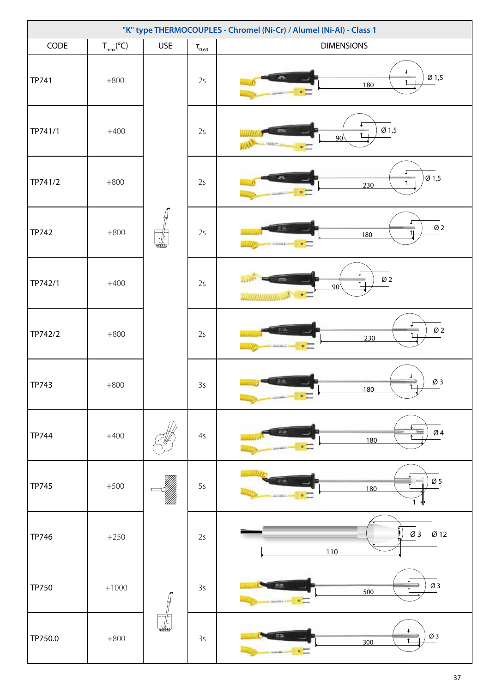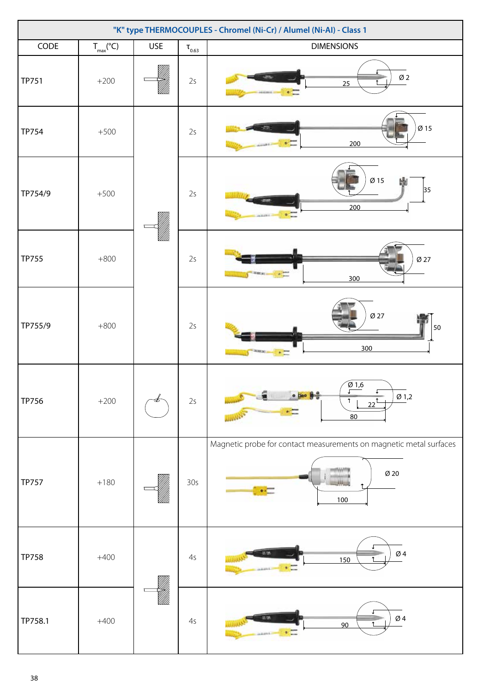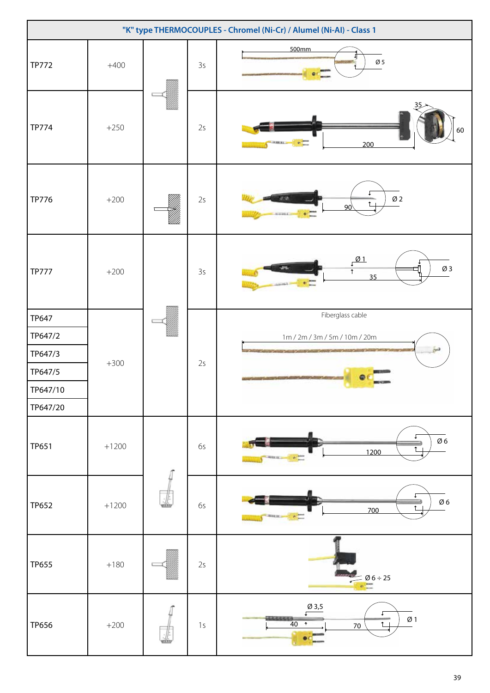